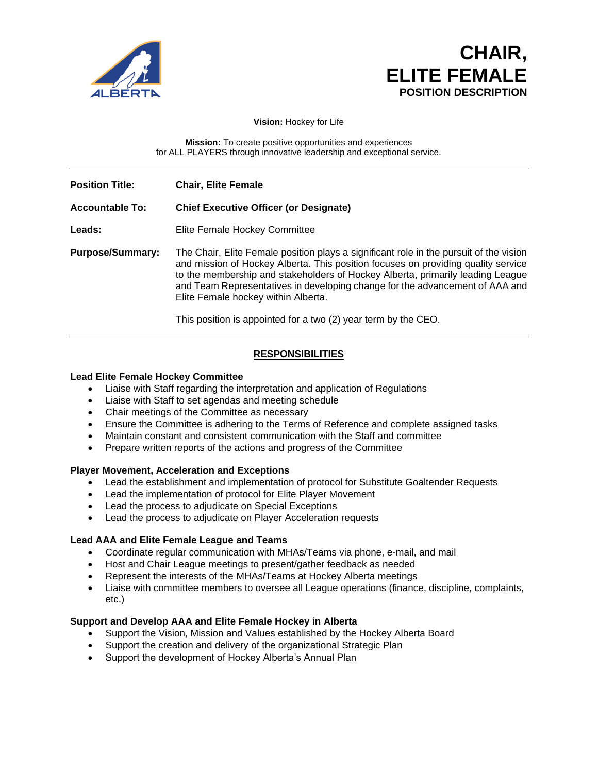

# **CHAIR, ELITE FEMALE POSITION DESCRIPTION**

**Vision:** Hockey for Life

**Mission:** To create positive opportunities and experiences for ALL PLAYERS through innovative leadership and exceptional service.

**Position Title: Chair, Elite Female**

# **Accountable To: Chief Executive Officer (or Designate)**

Leads: Elite Female Hockey Committee

**Purpose/Summary:** The Chair, Elite Female position plays a significant role in the pursuit of the vision and mission of Hockey Alberta. This position focuses on providing quality service to the membership and stakeholders of Hockey Alberta, primarily leading League and Team Representatives in developing change for the advancement of AAA and Elite Female hockey within Alberta.

This position is appointed for a two (2) year term by the CEO.

# **RESPONSIBILITIES**

#### **Lead Elite Female Hockey Committee**

- Liaise with Staff regarding the interpretation and application of Regulations
- Liaise with Staff to set agendas and meeting schedule
- Chair meetings of the Committee as necessary
- Ensure the Committee is adhering to the Terms of Reference and complete assigned tasks
- Maintain constant and consistent communication with the Staff and committee
- Prepare written reports of the actions and progress of the Committee

#### **Player Movement, Acceleration and Exceptions**

- Lead the establishment and implementation of protocol for Substitute Goaltender Requests
- Lead the implementation of protocol for Elite Player Movement
- Lead the process to adjudicate on Special Exceptions
- Lead the process to adjudicate on Player Acceleration requests

#### **Lead AAA and Elite Female League and Teams**

- Coordinate regular communication with MHAs/Teams via phone, e-mail, and mail
- Host and Chair League meetings to present/gather feedback as needed
- Represent the interests of the MHAs/Teams at Hockey Alberta meetings
- Liaise with committee members to oversee all League operations (finance, discipline, complaints, etc.)

#### **Support and Develop AAA and Elite Female Hockey in Alberta**

- Support the Vision, Mission and Values established by the Hockey Alberta Board
- Support the creation and delivery of the organizational Strategic Plan
- Support the development of Hockey Alberta's Annual Plan